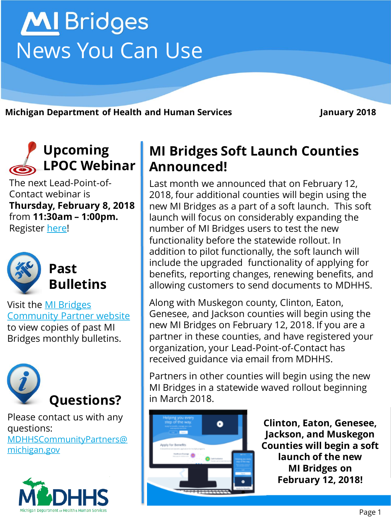# **MI** Bridges News You Can Use

**Michigan Department of Health and Human Services January 2018**

# **Upcoming LPOC Webinar**

The next Lead-Point-of-Contact webinar is **Thursday, February 8, 2018**  from **11:30am – 1:00pm.**  Register [here!](https://attendee.gotowebinar.com/register/2758120908360446977)



Visit the MI Bridges [Community Partner website](http://www.michigan.gov/mdhhs/0,5885,7-339-71551_82637---,00.html)  to view copies of past MI Bridges monthly bulletins.



Please contact us with any questions: [MDHHSCommunityPartners@](mailto:MDHHSCommunityPartners@michigan.gov) michigan.gov



### **MI Bridges Soft Launch Counties Announced!**

Last month we announced that on February 12, 2018, four additional counties will begin using the new MI Bridges as a part of a soft launch. This soft launch will focus on considerably expanding the number of MI Bridges users to test the new functionality before the statewide rollout. In addition to pilot functionally, the soft launch will include the upgraded functionality of applying for benefits, reporting changes, renewing benefits, and allowing customers to send documents to MDHHS.

Along with Muskegon county, Clinton, Eaton, Genesee, and Jackson counties will begin using the new MI Bridges on February 12, 2018. If you are a partner in these counties, and have registered your organization, your Lead-Point-of-Contact has received guidance via email from MDHHS.

Partners in other counties will begin using the new MI Bridges in a statewide waved rollout beginning in March 2018.



**Clinton, Eaton, Genesee, Jackson, and Muskegon Counties will begin a soft launch of the new MI Bridges on February 12, 2018!**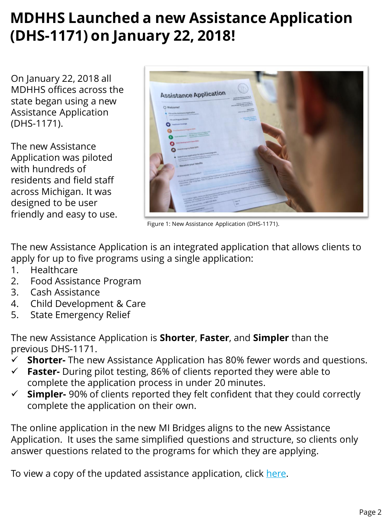# **MDHHS Launched a new Assistance Application (DHS-1171) on January 22, 2018!**

On January 22, 2018 all MDHHS offices across the state began using a new Assistance Application (DHS-1171).

The new Assistance Application was piloted with hundreds of residents and field staff across Michigan. It was designed to be user friendly and easy to use.



Figure 1: New Assistance Application (DHS-1171).

The new Assistance Application is an integrated application that allows clients to apply for up to five programs using a single application:

- 1. Healthcare
- 2. Food Assistance Program
- 3. Cash Assistance
- 4. Child Development & Care
- 5. State Emergency Relief

The new Assistance Application is **Shorter**, **Faster**, and **Simpler** than the previous DHS-1171.

- **Shorter-** The new Assistance Application has 80% fewer words and questions.
- **Faster-** During pilot testing, 86% of clients reported they were able to complete the application process in under 20 minutes.
- **Simpler-** 90% of clients reported they felt confident that they could correctly complete the application on their own.

The online application in the new MI Bridges aligns to the new Assistance Application. It uses the same simplified questions and structure, so clients only answer questions related to the programs for which they are applying.

To view a copy of the updated assistance application, click [here](http://www.michigan.gov/mdhhs/0,5885,7-339-71551_7338-69226--,00.html).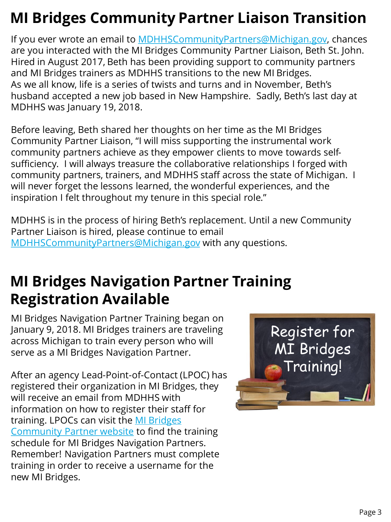# **MI Bridges Community Partner Liaison Transition**

If you ever wrote an email to [MDHHSCommunityPartners@Michigan.gov,](mailto:MDHHSCommunityPartners@Michigan.gov) chances are you interacted with the MI Bridges Community Partner Liaison, Beth St. John. Hired in August 2017, Beth has been providing support to community partners and MI Bridges trainers as MDHHS transitions to the new MI Bridges. As we all know, life is a series of twists and turns and in November, Beth's husband accepted a new job based in New Hampshire. Sadly, Beth's last day at MDHHS was January 19, 2018.

Before leaving, Beth shared her thoughts on her time as the MI Bridges Community Partner Liaison, "I will miss supporting the instrumental work community partners achieve as they empower clients to move towards selfsufficiency. I will always treasure the collaborative relationships I forged with community partners, trainers, and MDHHS staff across the state of Michigan. I will never forget the lessons learned, the wonderful experiences, and the inspiration I felt throughout my tenure in this special role."

MDHHS is in the process of hiring Beth's replacement. Until a new Community Partner Liaison is hired, please continue to email [MDHHSCommunityPartners@Michigan.gov](mailto:MDHHSCommunityPartners@Michigan.gov) with any questions.

# **MI Bridges Navigation Partner Training Registration Available**

MI Bridges Navigation Partner Training began on January 9, 2018. MI Bridges trainers are traveling across Michigan to train every person who will serve as a MI Bridges Navigation Partner.

After an agency Lead-Point-of-Contact (LPOC) has registered their organization in MI Bridges, they will receive an email from MDHHS with information on how to register their staff for [training. LPOCs can visit the MI Bridges](http://www.michigan.gov/mdhhs/0,5885,7-339-71551_82637_82640---,00.html)  Community Partner website to find the training schedule for MI Bridges Navigation Partners. Remember! Navigation Partners must complete training in order to receive a username for the new MI Bridges.